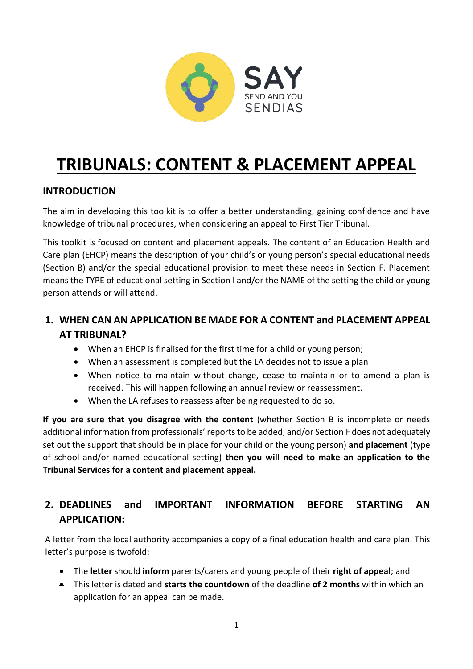

# **TRIBUNALS: CONTENT & PLACEMENT APPEAL**

## **INTRODUCTION**

The aim in developing this toolkit is to offer a better understanding, gaining confidence and have knowledge of tribunal procedures, when considering an appeal to First Tier Tribunal.

This toolkit is focused on content and placement appeals. The content of an Education Health and Care plan (EHCP) means the description of your child's or young person's special educational needs (Section B) and/or the special educational provision to meet these needs in Section F. Placement means the TYPE of educational setting in Section I and/or the NAME of the setting the child or young person attends or will attend.

# **1. WHEN CAN AN APPLICATION BE MADE FOR A CONTENT and PLACEMENT APPEAL AT TRIBUNAL?**

- When an EHCP is finalised for the first time for a child or young person;
- When an assessment is completed but the LA decides not to issue a plan
- When notice to maintain without change, cease to maintain or to amend a plan is received. This will happen following an annual review or reassessment.
- When the LA refuses to reassess after being requested to do so.

**If you are sure that you disagree with the content** (whether Section B is incomplete or needs additional information from professionals' reports to be added, and/or Section F does not adequately set out the support that should be in place for your child or the young person) **and placement** (type of school and/or named educational setting) **then you will need to make an application to the Tribunal Services for a content and placement appeal.**

# **2. DEADLINES and IMPORTANT INFORMATION BEFORE STARTING AN APPLICATION:**

A letter from the local authority accompanies a copy of a final education health and care plan. This letter's purpose is twofold:

- The **letter** should **inform** parents/carers and young people of their **right of appeal**; and
- This letter is dated and **starts the countdown** of the deadline **of 2 months** within which an application for an appeal can be made.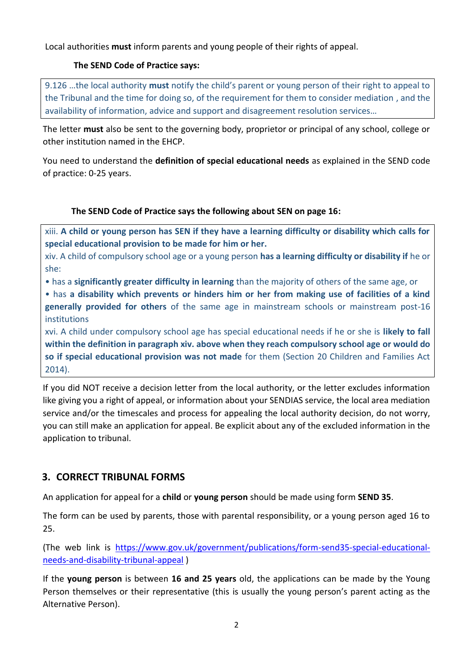Local authorities **must** inform parents and young people of their rights of appeal.

## **The SEND Code of Practice says:**

9.126 …the local authority **must** notify the child's parent or young person of their right to appeal to the Tribunal and the time for doing so, of the requirement for them to consider mediation , and the availability of information, advice and support and disagreement resolution services…

The letter **must** also be sent to the governing body, proprietor or principal of any school, college or other institution named in the EHCP.

You need to understand the **definition of special educational needs** as explained in the SEND code of practice: 0-25 years.

#### **The SEND Code of Practice says the following about SEN on page 16:**

xiii. **A child or young person has SEN if they have a learning difficulty or disability which calls for special educational provision to be made for him or her.**

xiv. A child of compulsory school age or a young person **has a learning difficulty or disability if** he or she:

• has a **significantly greater difficulty in learning** than the majority of others of the same age, or

• has **a disability which prevents or hinders him or her from making use of facilities of a kind generally provided for others** of the same age in mainstream schools or mainstream post-16 institutions

xvi. A child under compulsory school age has special educational needs if he or she is **likely to fall within the definition in paragraph xiv. above when they reach compulsory school age or would do so if special educational provision was not made** for them (Section 20 Children and Families Act 2014).

If you did NOT receive a decision letter from the local authority, or the letter excludes information like giving you a right of appeal, or information about your SENDIAS service, the local area mediation service and/or the timescales and process for appealing the local authority decision, do not worry, you can still make an application for appeal. Be explicit about any of the excluded information in the application to tribunal.

## **3. CORRECT TRIBUNAL FORMS**

An application for appeal for a **child** or **young person** should be made using form **SEND 35**.

The form can be used by parents, those with parental responsibility, or a young person aged 16 to 25.

(The web link is [https://www.gov.uk/government/publications/form-send35-special-educational](https://www.gov.uk/government/publications/form-send35-special-educational-needs-and-disability-tribunal-appeal)[needs-and-disability-tribunal-appeal](https://www.gov.uk/government/publications/form-send35-special-educational-needs-and-disability-tribunal-appeal) )

If the **young person** is between **16 and 25 years** old, the applications can be made by the Young Person themselves or their representative (this is usually the young person's parent acting as the Alternative Person).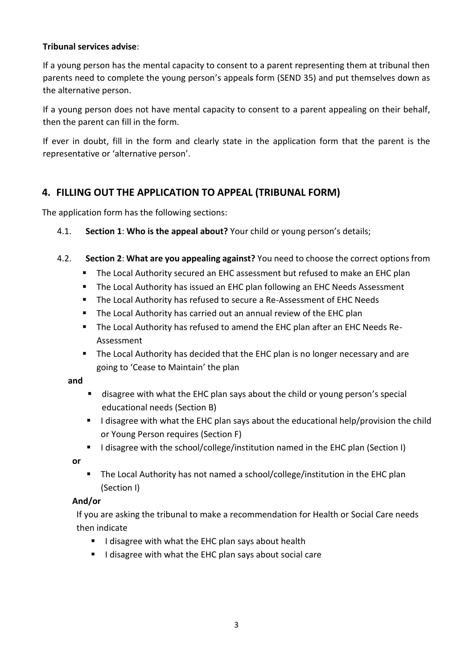#### **Tribunal services advise**:

If a young person has the mental capacity to consent to a parent representing them at tribunal then parents need to complete the young person's appeals form (SEND 35) and put themselves down as the alternative person.

If a young person does not have mental capacity to consent to a parent appealing on their behalf, then the parent can fill in the form.

If ever in doubt, fill in the form and clearly state in the application form that the parent is the representative or 'alternative person'.

## **4. FILLING OUT THE APPLICATION TO APPEAL (TRIBUNAL FORM)**

The application form has the following sections:

- 4.1. **Section 1**: **Who is the appeal about?** Your child or young person's details;
- 4.2. **Section 2**: **What are you appealing against?** You need to choose the correct options from
	- The Local Authority secured an EHC assessment but refused to make an EHC plan
	- The Local Authority has issued an EHC plan following an EHC Needs Assessment
	- The Local Authority has refused to secure a Re-Assessment of EHC Needs
	- The Local Authority has carried out an annual review of the EHC plan
	- The Local Authority has refused to amend the EHC plan after an EHC Needs Re-Assessment
	- The Local Authority has decided that the EHC plan is no longer necessary and are going to 'Cease to Maintain' the plan

#### **and**

- disagree with what the EHC plan says about the child or young person's special educational needs (Section B)
- I disagree with what the EHC plan says about the educational help/provision the child or Young Person requires (Section F)
- I disagree with the school/college/institution named in the EHC plan (Section I)

**or** 

■ The Local Authority has not named a school/college/institution in the EHC plan (Section I)

#### **And/or**

If you are asking the tribunal to make a recommendation for Health or Social Care needs then indicate

- I disagree with what the EHC plan says about health
- I disagree with what the EHC plan says about social care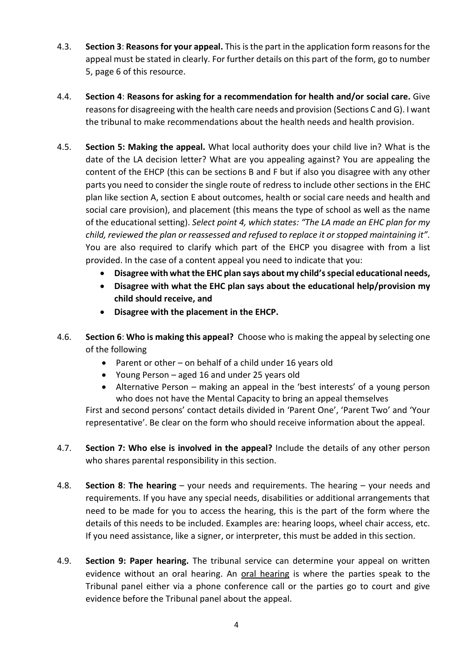- 4.3. **Section 3**: **Reasons for your appeal.** This is the part in the application form reasons for the appeal must be stated in clearly. For further details on this part of the form, go to number 5, page 6 of this resource.
- 4.4. **Section 4**: **Reasons for asking for a recommendation for health and/or social care.** Give reasons for disagreeing with the health care needs and provision (Sections C and G). I want the tribunal to make recommendations about the health needs and health provision.
- 4.5. **Section 5: Making the appeal.** What local authority does your child live in? What is the date of the LA decision letter? What are you appealing against? You are appealing the content of the EHCP (this can be sections B and F but if also you disagree with any other parts you need to consider the single route of redress to include other sections in the EHC plan like section A, section E about outcomes, health or social care needs and health and social care provision), and placement (this means the type of school as well as the name of the educational setting). *Select point 4, which states: "The LA made an EHC plan for my child, reviewed the plan or reassessed and refused to replace it or stopped maintaining it".* You are also required to clarify which part of the EHCP you disagree with from a list provided. In the case of a content appeal you need to indicate that you:
	- **Disagree with what the EHC plan says about my child's special educational needs,**
	- **Disagree with what the EHC plan says about the educational help/provision my child should receive, and**
	- **Disagree with the placement in the EHCP.**
- 4.6. **Section 6**: **Who is making this appeal?** Choose who is making the appeal by selecting one of the following
	- Parent or other on behalf of a child under 16 years old
	- Young Person aged 16 and under 25 years old
	- Alternative Person making an appeal in the 'best interests' of a young person who does not have the Mental Capacity to bring an appeal themselves

First and second persons' contact details divided in 'Parent One', 'Parent Two' and 'Your representative'. Be clear on the form who should receive information about the appeal.

- 4.7. **Section 7: Who else is involved in the appeal?** Include the details of any other person who shares parental responsibility in this section.
- 4.8. **Section 8**: **The hearing** your needs and requirements. The hearing your needs and requirements. If you have any special needs, disabilities or additional arrangements that need to be made for you to access the hearing, this is the part of the form where the details of this needs to be included. Examples are: hearing loops, wheel chair access, etc. If you need assistance, like a signer, or interpreter, this must be added in this section.
- 4.9. **Section 9: Paper hearing.** The tribunal service can determine your appeal on written evidence without an oral hearing. An oral hearing is where the parties speak to the Tribunal panel either via a phone conference call or the parties go to court and give evidence before the Tribunal panel about the appeal.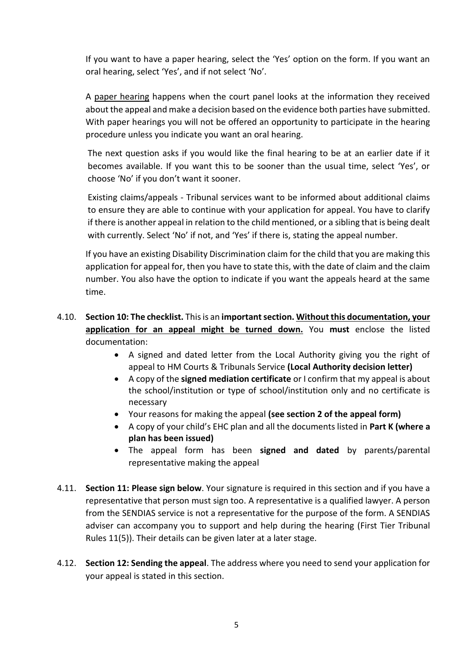If you want to have a paper hearing, select the 'Yes' option on the form. If you want an oral hearing, select 'Yes', and if not select 'No'.

A paper hearing happens when the court panel looks at the information they received about the appeal and make a decision based on the evidence both parties have submitted. With paper hearings you will not be offered an opportunity to participate in the hearing procedure unless you indicate you want an oral hearing.

The next question asks if you would like the final hearing to be at an earlier date if it becomes available. If you want this to be sooner than the usual time, select 'Yes', or choose 'No' if you don't want it sooner.

Existing claims/appeals - Tribunal services want to be informed about additional claims to ensure they are able to continue with your application for appeal. You have to clarify if there is another appeal in relation to the child mentioned, or a sibling that is being dealt with currently. Select 'No' if not, and 'Yes' if there is, stating the appeal number.

If you have an existing Disability Discrimination claim for the child that you are making this application for appeal for, then you have to state this, with the date of claim and the claim number. You also have the option to indicate if you want the appeals heard at the same time.

## 4.10. **Section 10: The checklist.** This is an **important section. Without this documentation, your application for an appeal might be turned down.** You **must** enclose the listed documentation:

- A signed and dated letter from the Local Authority giving you the right of appeal to HM Courts & Tribunals Service **(Local Authority decision letter)**
- A copy of the **signed mediation certificate** or I confirm that my appeal is about the school/institution or type of school/institution only and no certificate is necessary
- Your reasons for making the appeal **(see section 2 of the appeal form)**
- A copy of your child's EHC plan and all the documents listed in **Part K (where a plan has been issued)**
- The appeal form has been **signed and dated** by parents/parental representative making the appeal
- 4.11. **Section 11: Please sign below**. Your signature is required in this section and if you have a representative that person must sign too. A representative is a qualified lawyer. A person from the SENDIAS service is not a representative for the purpose of the form. A SENDIAS adviser can accompany you to support and help during the hearing (First Tier Tribunal Rules 11(5)). Their details can be given later at a later stage.
- 4.12. **Section 12: Sending the appeal**. The address where you need to send your application for your appeal is stated in this section.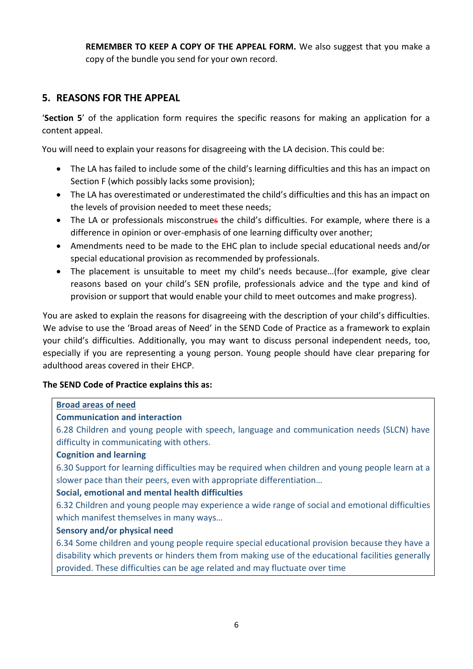**REMEMBER TO KEEP A COPY OF THE APPEAL FORM.** We also suggest that you make a copy of the bundle you send for your own record.

## **5. REASONS FOR THE APPEAL**

'**Section 5**' of the application form requires the specific reasons for making an application for a content appeal.

You will need to explain your reasons for disagreeing with the LA decision. This could be:

- The LA has failed to include some of the child's learning difficulties and this has an impact on Section F (which possibly lacks some provision);
- The LA has overestimated or underestimated the child's difficulties and this has an impact on the levels of provision needed to meet these needs;
- The LA or professionals misconstrues the child's difficulties. For example, where there is a difference in opinion or over-emphasis of one learning difficulty over another;
- Amendments need to be made to the EHC plan to include special educational needs and/or special educational provision as recommended by professionals.
- The placement is unsuitable to meet my child's needs because…(for example, give clear reasons based on your child's SEN profile, professionals advice and the type and kind of provision or support that would enable your child to meet outcomes and make progress).

You are asked to explain the reasons for disagreeing with the description of your child's difficulties. We advise to use the 'Broad areas of Need' in the SEND Code of Practice as a framework to explain your child's difficulties. Additionally, you may want to discuss personal independent needs, too, especially if you are representing a young person. Young people should have clear preparing for adulthood areas covered in their EHCP.

#### **The SEND Code of Practice explains this as:**

#### **Broad areas of need**

#### **Communication and interaction**

6.28 Children and young people with speech, language and communication needs (SLCN) have difficulty in communicating with others.

#### **Cognition and learning**

6.30 Support for learning difficulties may be required when children and young people learn at a slower pace than their peers, even with appropriate differentiation…

#### **Social, emotional and mental health difficulties**

6.32 Children and young people may experience a wide range of social and emotional difficulties which manifest themselves in many ways…

#### **Sensory and/or physical need**

6.34 Some children and young people require special educational provision because they have a disability which prevents or hinders them from making use of the educational facilities generally provided. These difficulties can be age related and may fluctuate over time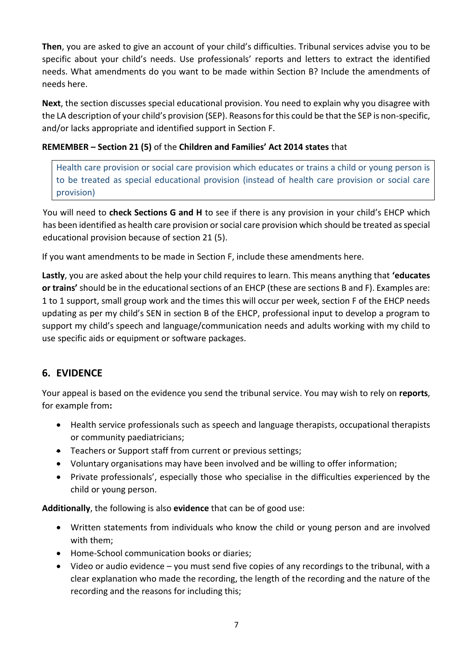**Then**, you are asked to give an account of your child's difficulties. Tribunal services advise you to be specific about your child's needs. Use professionals' reports and letters to extract the identified needs. What amendments do you want to be made within Section B? Include the amendments of needs here.

**Next**, the section discusses special educational provision. You need to explain why you disagree with the LA description of your child's provision (SEP). Reasons for this could be that the SEP is non-specific, and/or lacks appropriate and identified support in Section F.

## **REMEMBER – Section 21 (5)** of the **Children and Families' Act 2014 states** that

Health care provision or social care provision which educates or trains a child or young person is to be treated as special educational provision (instead of health care provision or social care provision)

You will need to **check Sections G and H** to see if there is any provision in your child's EHCP which has been identified as health care provision or social care provision which should be treated as special educational provision because of section 21 (5).

If you want amendments to be made in Section F, include these amendments here.

**Lastly**, you are asked about the help your child requires to learn. This means anything that **'educates or trains'** should be in the educational sections of an EHCP (these are sections B and F). Examples are: 1 to 1 support, small group work and the times this will occur per week, section F of the EHCP needs updating as per my child's SEN in section B of the EHCP, professional input to develop a program to support my child's speech and language/communication needs and adults working with my child to use specific aids or equipment or software packages.

## **6. EVIDENCE**

Your appeal is based on the evidence you send the tribunal service. You may wish to rely on **reports**, for example from**:**

- Health service professionals such as speech and language therapists, occupational therapists or community paediatricians;
- Teachers or Support staff from current or previous settings;
- Voluntary organisations may have been involved and be willing to offer information;
- Private professionals', especially those who specialise in the difficulties experienced by the child or young person.

**Additionally**, the following is also **evidence** that can be of good use:

- Written statements from individuals who know the child or young person and are involved with them;
- Home-School communication books or diaries;
- Video or audio evidence you must send five copies of any recordings to the tribunal, with a clear explanation who made the recording, the length of the recording and the nature of the recording and the reasons for including this;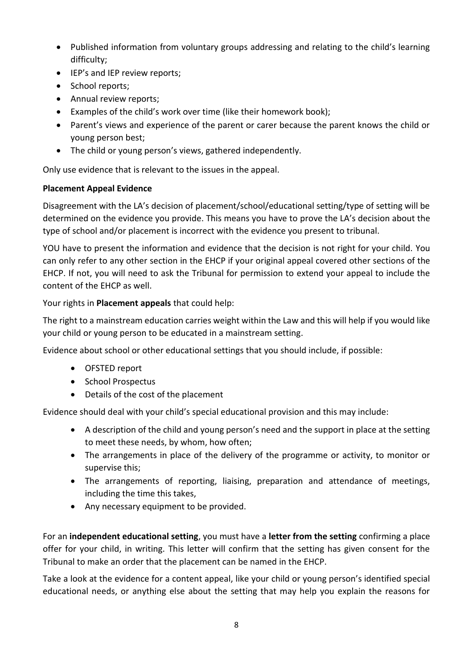- Published information from voluntary groups addressing and relating to the child's learning difficulty;
- IEP's and IEP review reports;
- School reports;
- Annual review reports;
- Examples of the child's work over time (like their homework book);
- Parent's views and experience of the parent or carer because the parent knows the child or young person best;
- The child or young person's views, gathered independently.

Only use evidence that is relevant to the issues in the appeal.

#### **Placement Appeal Evidence**

Disagreement with the LA's decision of placement/school/educational setting/type of setting will be determined on the evidence you provide. This means you have to prove the LA's decision about the type of school and/or placement is incorrect with the evidence you present to tribunal.

YOU have to present the information and evidence that the decision is not right for your child. You can only refer to any other section in the EHCP if your original appeal covered other sections of the EHCP. If not, you will need to ask the Tribunal for permission to extend your appeal to include the content of the EHCP as well.

#### Your rights in **Placement appeals** that could help:

The right to a mainstream education carries weight within the Law and this will help if you would like your child or young person to be educated in a mainstream setting.

Evidence about school or other educational settings that you should include, if possible:

- OFSTED report
- School Prospectus
- Details of the cost of the placement

Evidence should deal with your child's special educational provision and this may include:

- A description of the child and young person's need and the support in place at the setting to meet these needs, by whom, how often;
- The arrangements in place of the delivery of the programme or activity, to monitor or supervise this;
- The arrangements of reporting, liaising, preparation and attendance of meetings, including the time this takes,
- Any necessary equipment to be provided.

For an **independent educational setting**, you must have a **letter from the setting** confirming a place offer for your child, in writing. This letter will confirm that the setting has given consent for the Tribunal to make an order that the placement can be named in the EHCP.

Take a look at the evidence for a content appeal, like your child or young person's identified special educational needs, or anything else about the setting that may help you explain the reasons for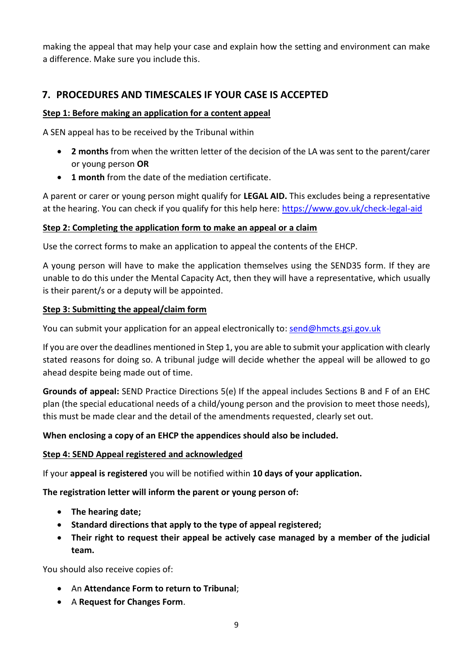making the appeal that may help your case and explain how the setting and environment can make a difference. Make sure you include this.

## **7. PROCEDURES AND TIMESCALES IF YOUR CASE IS ACCEPTED**

#### **Step 1: Before making an application for a content appeal**

A SEN appeal has to be received by the Tribunal within

- **2 months** from when the written letter of the decision of the LA was sent to the parent/carer or young person **OR**
- **1 month** from the date of the mediation certificate.

A parent or carer or young person might qualify for **LEGAL AID.** This excludes being a representative at the hearing. You can check if you qualify for this help here:<https://www.gov.uk/check-legal-aid>

#### **Step 2: Completing the application form to make an appeal or a claim**

Use the correct forms to make an application to appeal the contents of the EHCP.

A young person will have to make the application themselves using the SEND35 form. If they are unable to do this under the Mental Capacity Act, then they will have a representative, which usually is their parent/s or a deputy will be appointed.

#### **Step 3: Submitting the appeal/claim form**

You can submit your application for an appeal electronically to: [send@hmcts.gsi.gov.uk](mailto:send@hmcts.gsi.gov.uk)

If you are over the deadlines mentioned in Step 1, you are able to submit your application with clearly stated reasons for doing so. A tribunal judge will decide whether the appeal will be allowed to go ahead despite being made out of time.

**Grounds of appeal:** SEND Practice Directions 5(e) If the appeal includes Sections B and F of an EHC plan (the special educational needs of a child/young person and the provision to meet those needs), this must be made clear and the detail of the amendments requested, clearly set out.

#### **When enclosing a copy of an EHCP the appendices should also be included.**

#### **Step 4: SEND Appeal registered and acknowledged**

If your **appeal is registered** you will be notified within **10 days of your application.**

**The registration letter will inform the parent or young person of:** 

- **The hearing date;**
- **Standard directions that apply to the type of appeal registered;**
- **Their right to request their appeal be actively case managed by a member of the judicial team.**

You should also receive copies of:

- An **Attendance Form to return to Tribunal**;
- A **Request for Changes Form**.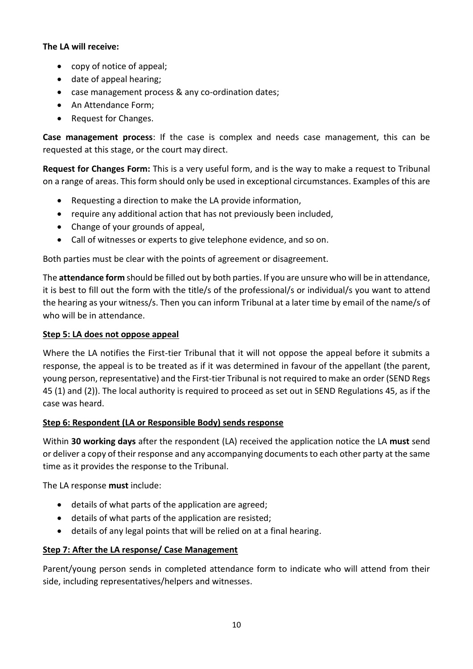#### **The LA will receive:**

- copy of notice of appeal;
- date of appeal hearing;
- case management process & any co-ordination dates;
- An Attendance Form;
- Request for Changes.

**Case management process**: If the case is complex and needs case management, this can be requested at this stage, or the court may direct.

**Request for Changes Form:** This is a very useful form, and is the way to make a request to Tribunal on a range of areas. This form should only be used in exceptional circumstances. Examples of this are

- Requesting a direction to make the LA provide information,
- require any additional action that has not previously been included,
- Change of your grounds of appeal,
- Call of witnesses or experts to give telephone evidence, and so on.

Both parties must be clear with the points of agreement or disagreement.

The **attendance form** should be filled out by both parties. If you are unsure who will be in attendance, it is best to fill out the form with the title/s of the professional/s or individual/s you want to attend the hearing as your witness/s. Then you can inform Tribunal at a later time by email of the name/s of who will be in attendance.

#### **Step 5: LA does not oppose appeal**

Where the LA notifies the First-tier Tribunal that it will not oppose the appeal before it submits a response, the appeal is to be treated as if it was determined in favour of the appellant (the parent, young person, representative) and the First-tier Tribunal is not required to make an order (SEND Regs 45 (1) and (2)). The local authority is required to proceed as set out in SEND Regulations 45, as if the case was heard.

#### **Step 6: Respondent (LA or Responsible Body) sends response**

Within **30 working days** after the respondent (LA) received the application notice the LA **must** send or deliver a copy of their response and any accompanying documents to each other party at the same time as it provides the response to the Tribunal.

The LA response **must** include:

- details of what parts of the application are agreed;
- details of what parts of the application are resisted;
- details of any legal points that will be relied on at a final hearing.

#### **Step 7: After the LA response/ Case Management**

Parent/young person sends in completed attendance form to indicate who will attend from their side, including representatives/helpers and witnesses.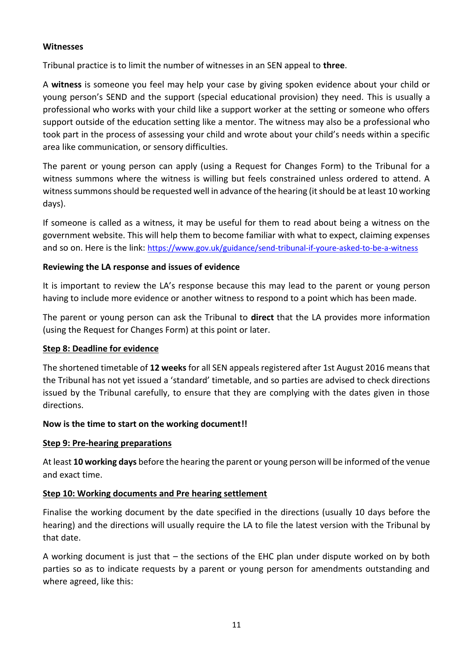#### **Witnesses**

Tribunal practice is to limit the number of witnesses in an SEN appeal to **three**.

A **witness** is someone you feel may help your case by giving spoken evidence about your child or young person's SEND and the support (special educational provision) they need. This is usually a professional who works with your child like a support worker at the setting or someone who offers support outside of the education setting like a mentor. The witness may also be a professional who took part in the process of assessing your child and wrote about your child's needs within a specific area like communication, or sensory difficulties.

The parent or young person can apply (using a Request for Changes Form) to the Tribunal for a witness summons where the witness is willing but feels constrained unless ordered to attend. A witness summons should be requested well in advance of the hearing (it should be at least 10 working days).

If someone is called as a witness, it may be useful for them to read about being a witness on the government website. This will help them to become familiar with what to expect, claiming expenses and so on. Here is the link: <https://www.gov.uk/guidance/send-tribunal-if-youre-asked-to-be-a-witness>

#### **Reviewing the LA response and issues of evidence**

It is important to review the LA's response because this may lead to the parent or young person having to include more evidence or another witness to respond to a point which has been made.

The parent or young person can ask the Tribunal to **direct** that the LA provides more information (using the Request for Changes Form) at this point or later.

#### **Step 8: Deadline for evidence**

The shortened timetable of **12 weeks** for all SEN appeals registered after 1st August 2016 means that the Tribunal has not yet issued a 'standard' timetable, and so parties are advised to check directions issued by the Tribunal carefully, to ensure that they are complying with the dates given in those directions.

#### **Now is the time to start on the working document!!**

#### **Step 9: Pre-hearing preparations**

At least **10 working days** before the hearing the parent or young person will be informed of the venue and exact time.

#### **Step 10: Working documents and Pre hearing settlement**

Finalise the working document by the date specified in the directions (usually 10 days before the hearing) and the directions will usually require the LA to file the latest version with the Tribunal by that date.

A working document is just that – the sections of the EHC plan under dispute worked on by both parties so as to indicate requests by a parent or young person for amendments outstanding and where agreed, like this: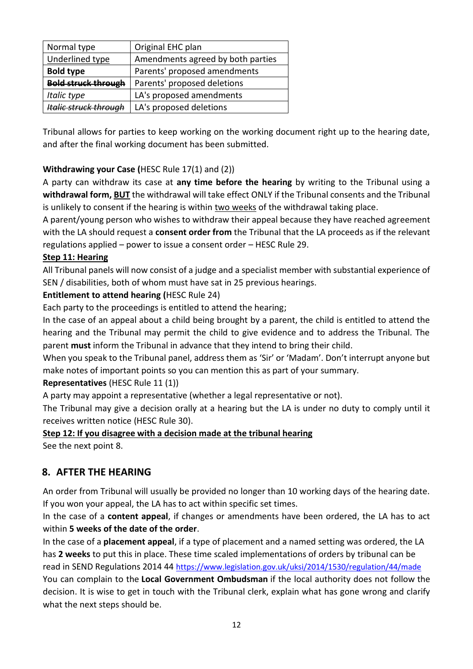| Normal type                  | Original EHC plan                 |
|------------------------------|-----------------------------------|
| <b>Underlined type</b>       | Amendments agreed by both parties |
| <b>Bold type</b>             | Parents' proposed amendments      |
| <b>Bold struck through</b>   | Parents' proposed deletions       |
| Italic type                  | LA's proposed amendments          |
| <b>Italic struck through</b> | LA's proposed deletions           |

Tribunal allows for parties to keep working on the working document right up to the hearing date, and after the final working document has been submitted.

## **Withdrawing your Case (**HESC Rule 17(1) and (2))

A party can withdraw its case at **any time before the hearing** by writing to the Tribunal using a **withdrawal form, BUT** the withdrawal will take effect ONLY if the Tribunal consents and the Tribunal is unlikely to consent if the hearing is within two weeks of the withdrawal taking place.

A parent/young person who wishes to withdraw their appeal because they have reached agreement with the LA should request a **consent order from** the Tribunal that the LA proceeds as if the relevant regulations applied – power to issue a consent order – HESC Rule 29.

#### **Step 11: Hearing**

All Tribunal panels will now consist of a judge and a specialist member with substantial experience of SEN / disabilities, both of whom must have sat in 25 previous hearings.

#### **Entitlement to attend hearing (**HESC Rule 24)

Each party to the proceedings is entitled to attend the hearing;

In the case of an appeal about a child being brought by a parent, the child is entitled to attend the hearing and the Tribunal may permit the child to give evidence and to address the Tribunal. The parent **must** inform the Tribunal in advance that they intend to bring their child.

When you speak to the Tribunal panel, address them as 'Sir' or 'Madam'. Don't interrupt anyone but make notes of important points so you can mention this as part of your summary.

#### **Representatives** (HESC Rule 11 (1))

A party may appoint a representative (whether a legal representative or not).

The Tribunal may give a decision orally at a hearing but the LA is under no duty to comply until it receives written notice (HESC Rule 30).

#### **Step 12: If you disagree with a decision made at the tribunal hearing**

See the next point 8.

## **8. AFTER THE HEARING**

An order from Tribunal will usually be provided no longer than 10 working days of the hearing date. If you won your appeal, the LA has to act within specific set times.

In the case of a **content appeal**, if changes or amendments have been ordered, the LA has to act within **5 weeks of the date of the order**.

In the case of a **placement appeal**, if a type of placement and a named setting was ordered, the LA has **2 weeks** to put this in place. These time scaled implementations of orders by tribunal can be read in SEND Regulations 2014 44 <https://www.legislation.gov.uk/uksi/2014/1530/regulation/44/made> You can complain to the **[Local Government Ombudsman](http://www.lgo.org.uk/make-a-complaint/fact-sheets/education/special-educational-needs)** if the local authority does not follow the decision. It is wise to get in touch with the Tribunal clerk, explain what has gone wrong and clarify what the next steps should be.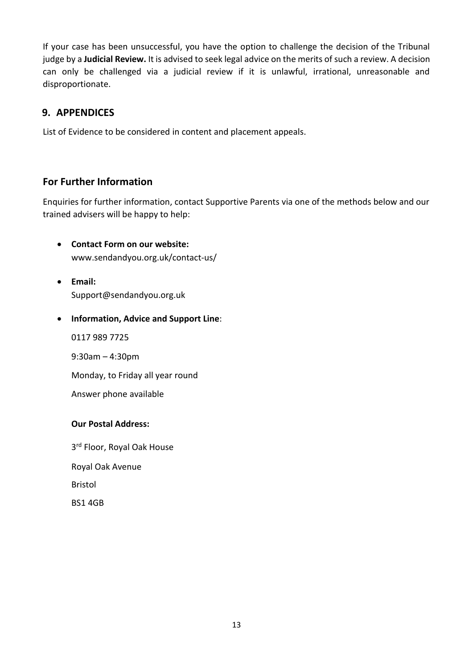If your case has been unsuccessful, you have the option to challenge the decision of the Tribunal judge by a **Judicial Review.** It is advised to seek legal advice on the merits of such a review. A decision can only be challenged via a judicial review if it is unlawful, irrational, unreasonable and disproportionate.

## **9. APPENDICES**

List of Evidence to be considered in content and placement appeals.

## **For Further Information**

Enquiries for further information, contact Supportive Parents via one of the methods below and our trained advisers will be happy to help:

- **Contact Form on our website:** [www.sendandyou.org.uk/contact-us/](http://www.sendandyou.org.uk/contact-us/%E2%80%A2Email:Support@sendandyou.org.uk%E2%80%A2Information)
- **[Email:](http://www.sendandyou.org.uk/contact-us/%E2%80%A2Email:Support@sendandyou.org.uk%E2%80%A2Information)** [Support@](http://www.sendandyou.org.uk/contact-us/%E2%80%A2Email:Support@sendandyou.org.uk%E2%80%A2Information)[sendandyou](http://www.sendandyou.org.uk/contact-us/%E2%80%A2Email:Support@sendandyou.org.uk%E2%80%A2Information)[.org.uk](http://www.sendandyou.org.uk/contact-us/%E2%80%A2Email:Support@sendandyou.org.uk%E2%80%A2Information)
- **[Information, Advice and Suppor](http://www.sendandyou.org.uk/contact-us/%E2%80%A2Email:Support@sendandyou.org.uk%E2%80%A2Information)t Line**:

0117 989 7725

9:30am – 4:30pm

Monday, to Friday all year round

Answer phone available

#### **Our Postal Address:**

3<sup>rd</sup> Floor, Royal Oak House Royal Oak Avenue Bristol BS1 4GB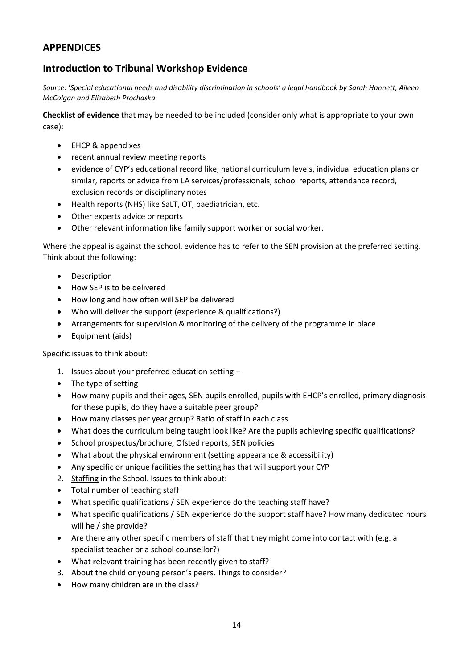## **APPENDICES**

## **Introduction to Tribunal Workshop Evidence**

*Source:* '*Special educational needs and disability discrimination in schools' a legal handbook by Sarah Hannett, Aileen McColgan and Elizabeth Prochaska*

**Checklist of evidence** that may be needed to be included (consider only what is appropriate to your own case):

- EHCP & appendixes
- recent annual review meeting reports
- evidence of CYP's educational record like, national curriculum levels, individual education plans or similar, reports or advice from LA services/professionals, school reports, attendance record, exclusion records or disciplinary notes
- Health reports (NHS) like SaLT, OT, paediatrician, etc.
- Other experts advice or reports
- Other relevant information like family support worker or social worker.

Where the appeal is against the school, evidence has to refer to the SEN provision at the preferred setting. Think about the following:

- Description
- How SEP is to be delivered
- How long and how often will SEP be delivered
- Who will deliver the support (experience & qualifications?)
- Arrangements for supervision & monitoring of the delivery of the programme in place
- Equipment (aids)

Specific issues to think about:

- 1. Issues about your preferred education setting –
- The type of setting
- How many pupils and their ages, SEN pupils enrolled, pupils with EHCP's enrolled, primary diagnosis for these pupils, do they have a suitable peer group?
- How many classes per year group? Ratio of staff in each class
- What does the curriculum being taught look like? Are the pupils achieving specific qualifications?
- School prospectus/brochure, Ofsted reports, SEN policies
- What about the physical environment (setting appearance & accessibility)
- Any specific or unique facilities the setting has that will support your CYP
- 2. Staffing in the School. Issues to think about:
- Total number of teaching staff
- What specific qualifications / SEN experience do the teaching staff have?
- What specific qualifications / SEN experience do the support staff have? How many dedicated hours will he / she provide?
- Are there any other specific members of staff that they might come into contact with (e.g. a specialist teacher or a school counsellor?)
- What relevant training has been recently given to staff?
- 3. About the child or young person's peers. Things to consider?
- How many children are in the class?